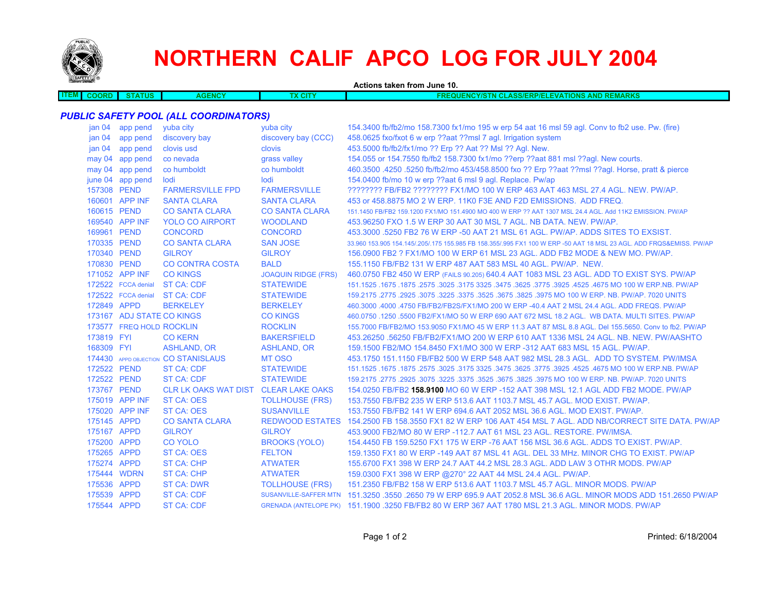

# **NORTHERN CALIF APCO LOG FOR JULY 2004**

| <b>Convey you and</b>                        |                           |                                     |                            | Actions taken from June 10.                                                                                         |  |  |
|----------------------------------------------|---------------------------|-------------------------------------|----------------------------|---------------------------------------------------------------------------------------------------------------------|--|--|
| <b>ITEM</b><br><b>COORD</b>                  | <b>STATUS</b>             | <b>AGENCY</b>                       | <b>TX CITY</b>             | <b>FREQUENCY/STN CLASS/ERP/ELEVATIONS AND REMARKS</b>                                                               |  |  |
|                                              |                           |                                     |                            |                                                                                                                     |  |  |
| <b>PUBLIC SAFETY POOL (ALL COORDINATORS)</b> |                           |                                     |                            |                                                                                                                     |  |  |
|                                              | jan 04 app pend           | yuba city                           | yuba city                  | 154.3400 fb/fb2/mo 158.7300 fx1/mo 195 w erp 54 aat 16 msl 59 agl. Conv to fb2 use. Pw. (fire)                      |  |  |
| jan <sub>04</sub>                            | app pend                  | discovery bay                       | discovery bay (CCC)        | 458.0625 fxo/fxot 6 w erp ??aat ??msl 7 agl. Irrigation system                                                      |  |  |
| jan 04                                       | app pend                  | clovis usd                          | clovis                     | 453.5000 fb/fb2/fx1/mo ?? Erp ?? Aat ?? Msl ?? Agl. New.                                                            |  |  |
|                                              | may 04 app pend           | co nevada                           | grass valley               | 154.055 or 154.7550 fb/fb2 158.7300 fx1/mo ??erp ??aat 881 msl ??agl. New courts.                                   |  |  |
|                                              | may 04 app pend           | co humboldt                         | co humboldt                | 460.3500 .4250 .5250 fb/fb2/mo 453/458.8500 fxo ?? Erp ??aat ??msl ??agl. Horse, pratt & pierce                     |  |  |
|                                              | june 04 app pend          | lodi                                | lodi                       | 154.0400 fb/mo 10 w erp ??aat 6 msl 9 agl. Replace. Pw/ap                                                           |  |  |
| 157308 PEND                                  |                           | <b>FARMERSVILLE FPD</b>             | <b>FARMERSVILLE</b>        | ???????? FB/FB2 ???????? FX1/MO 100 W ERP 463 AAT 463 MSL 27.4 AGL. NEW. PW/AP.                                     |  |  |
|                                              | 160601 APP INF            | <b>SANTA CLARA</b>                  | <b>SANTA CLARA</b>         | 453 or 458,8875 MO 2 W ERP, 11K0 F3E AND F2D EMISSIONS. ADD FREQ.                                                   |  |  |
| 160615 PEND                                  |                           | <b>CO SANTA CLARA</b>               | <b>CO SANTA CLARA</b>      | 151.1450 FB/FB2 159.1200 FX1/MO 151.4900 MO 400 W ERP ?? AAT 1307 MSL 24.4 AGL. Add 11K2 EMISSION. PW/AP            |  |  |
|                                              | 169540 APP INF            | <b>YOLO CO AIRPORT</b>              | <b>WOODLAND</b>            | 453,96250 FXO 1.5 W ERP 30 AAT 30 MSL 7 AGL, NB DATA, NEW, PW/AP.                                                   |  |  |
| 169961 PEND                                  |                           | <b>CONCORD</b>                      | <b>CONCORD</b>             | 453.3000 .5250 FB2 76 W ERP -50 AAT 21 MSL 61 AGL. PW/AP. ADDS SITES TO EXSIST.                                     |  |  |
| 170335 PEND                                  |                           | <b>CO SANTA CLARA</b>               | <b>SAN JOSE</b>            | 33,960 153,905 154,145/.205/.175 155,985 FB 158,355/.995 FX1 100 W ERP -50 AAT 18 MSL 23 AGL, ADD FRQS&EMISS, PW/AP |  |  |
| 170340 PEND                                  |                           | <b>GILROY</b>                       | <b>GILROY</b>              | 156,0900 FB2 ? FX1/MO 100 W ERP 61 MSL 23 AGL, ADD FB2 MODE & NEW MO, PW/AP.                                        |  |  |
| 170830 PEND                                  |                           | <b>CO CONTRA COSTA</b>              | <b>BALD</b>                | 155.1150 FB/FB2 131 W ERP 487 AAT 583 MSL 40 AGL. PW/AP. NEW.                                                       |  |  |
|                                              | 171052 APP INF            | <b>CO KINGS</b>                     | <b>JOAQUIN RIDGE (FRS)</b> | 460.0750 FB2 450 W ERP (FAILS 90.205) 640.4 AAT 1083 MSL 23 AGL. ADD TO EXIST SYS. PW/AP                            |  |  |
|                                              | 172522 FCCA denial        | <b>ST CA: CDF</b>                   | <b>STATEWIDE</b>           | 151.1525 .1675 NO 100 W ERP.NB. PW/AP .2575 .3625 .3475 .3475 .3625 .3475 .3625 .3025 .1675 .1675 .1675 .1675       |  |  |
|                                              | 172522 FCCA denial        | <b>ST CA: CDF</b>                   | <b>STATEWIDE</b>           | 159.2175 .2775 .2925 .3075 .3225 .3575 .3525 .3675 .3825 .3975 MO 100 W ERP. NB. PW/AP. 7020 UNITS                  |  |  |
| 172849 APPD                                  |                           | <b>BERKELEY</b>                     | <b>BERKELEY</b>            | 460.3000 .4000 .4750 FB/FB2/FB2S/FX1/MO 200 W ERP -40.4 AAT 2 MSL 24.4 AGL. ADD FREQS. PW/AP                        |  |  |
|                                              | 173167 ADJ STATE CO KINGS |                                     | <b>CO KINGS</b>            | 460.0750 .1250 .5500 FB2/FX1/MO 50 W ERP 690 AAT 672 MSL 18.2 AGL, WB DATA, MULTI SITES, PW/AP                      |  |  |
|                                              | 173577 FREQ HOLD ROCKLIN  |                                     | <b>ROCKLIN</b>             | 155.7000 FB/FB2/MO 153.9050 FX1/MO 45 W ERP 11.3 AAT 87 MSL 8.8 AGL. Del 155.5650. Conv to fb2. PW/AP               |  |  |
| 173819 FYI                                   |                           | <b>CO KERN</b>                      | <b>BAKERSFIELD</b>         | 453.26250 .56250 FB/FB2/FX1/MO 200 W ERP 610 AAT 1336 MSL 24 AGL, NB, NEW, PW/AASHTO                                |  |  |
| 168309 FYI                                   |                           | <b>ASHLAND, OR</b>                  | <b>ASHLAND, OR</b>         | 159.1500 FB2/MO 154.8450 FX1/MO 300 W ERP -312 AAT 683 MSL 15 AGL. PW/AP.                                           |  |  |
|                                              |                           | 174430 APPD OBJECTION CO STANISLAUS | <b>MT OSO</b>              | 453.1750 151.1150 FB/FB2 500 W ERP 548 AAT 982 MSL 28.3 AGL. ADD TO SYSTEM. PW/IMSA                                 |  |  |
| 172522 PEND                                  |                           | <b>ST CA: CDF</b>                   | <b>STATEWIDE</b>           | 1675.1675.1675 NO 100 W ERP.NB. PW/AP 325. 3475 325. 3475 325. 3475 3275 3275. 3025. 1675 1675. 1675 1675.1525      |  |  |
| 172522 PEND                                  |                           | ST CA: CDF                          | <b>STATEWIDE</b>           | 159.2175 .2775 .2925 .3075 .3225 .3525 .3625 .3675 .3825 .3975 MO 100 W ERP. NB. PW/AP. 7020 UNITS                  |  |  |
| 173767 PEND                                  |                           | <b>CLR LK OAKS WAT DIST</b>         | <b>CLEAR LAKE OAKS</b>     | 154,0250 FB/FB2 <b>158,9100 MO 60 W ERP -152 AAT 398 MSL 12.1 AGL ADD FB2 MODE. PW/AP</b>                           |  |  |
|                                              | 175019 APP INF            | <b>ST CA: OES</b>                   | <b>TOLLHOUSE (FRS)</b>     | 153.7550 FB/FB2 235 W ERP 513.6 AAT 1103.7 MSL 45.7 AGL. MOD EXIST, PW/AP.                                          |  |  |
|                                              | 175020 APP INF            | ST CA: OES                          | <b>SUSANVILLE</b>          | 153.7550 FB/FB2 141 W ERP 694.6 AAT 2052 MSL 36.6 AGL. MOD EXIST, PW/AP.                                            |  |  |
| 175145 APPD                                  |                           | <b>CO SANTA CLARA</b>               | <b>REDWOOD ESTATES</b>     | 154.2500 FB 158.3550 FX1 82 W ERP 106 AAT 454 MSL 7 AGL. ADD NB/CORRECT SITE DATA. PW/AP                            |  |  |
| 175167 APPD                                  |                           | <b>GILROY</b>                       | <b>GILROY</b>              | 453,9000 FB2/MO 80 W ERP -112.7 AAT 61 MSL 23 AGL, RESTORE, PW/IMSA.                                                |  |  |
| 175200 APPD                                  |                           | <b>CO YOLO</b>                      | <b>BROOKS (YOLO)</b>       | 154.4450 FB 159.5250 FX1 175 W ERP -76 AAT 156 MSL 36.6 AGL. ADDS TO EXIST. PW/AP.                                  |  |  |
| 175265 APPD                                  |                           | ST CA: OES                          | <b>FELTON</b>              | 159.1350 FX1 80 W ERP -149 AAT 87 MSL 41 AGL. DEL 33 MHz. MINOR CHG TO EXIST. PW/AP                                 |  |  |
| 175274 APPD                                  |                           | <b>ST CA: CHP</b>                   | <b>ATWATER</b>             | 155,6700 FX1 398 W ERP 24.7 AAT 44.2 MSL 28.3 AGL. ADD LAW 3 OTHR MODS, PW/AP                                       |  |  |
| 175444 WDRN                                  |                           | <b>ST CA: CHP</b>                   | <b>ATWATER</b>             | 159.0300 FX1 398 W ERP @270° 22 AAT 44 MSL 24.4 AGL. PW/AP.                                                         |  |  |
| 175536 APPD                                  |                           | <b>ST CA: DWR</b>                   | <b>TOLLHOUSE (FRS)</b>     | 151.2350 FB/FB2 158 W ERP 513.6 AAT 1103.7 MSL 45.7 AGL. MINOR MODS. PW/AP                                          |  |  |
| 175539 APPD                                  |                           | <b>ST CA: CDF</b>                   |                            | SUSANVILLE-SAFFER MTN 151,3250 .3550 .2650 79 W ERP 695.9 AAT 2052.8 MSL 36.6 AGL, MINOR MODS ADD 151,2650 PW/AP    |  |  |
| 175544 APPD                                  |                           | <b>ST CA: CDF</b>                   |                            | GRENADA (ANTELOPE PK) 151.1900 .3250 FB/FB2 80 W ERP 367 AAT 1780 MSL 21.3 AGL. MINOR MODS. PW/AP                   |  |  |